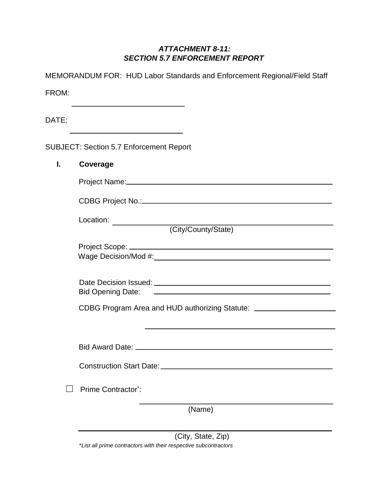## *ATTACHMENT 8-11: SECTION 5.7 ENFORCEMENT REPORT*

|       | MEMORANDUM FOR: HUD Labor Standards and Enforcement Regional/Field Staff         |
|-------|----------------------------------------------------------------------------------|
| FROM: |                                                                                  |
| DATE: |                                                                                  |
|       | <b>SUBJECT: Section 5.7 Enforcement Report</b>                                   |
| L.    | Coverage                                                                         |
|       |                                                                                  |
|       |                                                                                  |
|       | (City/County/State)                                                              |
|       |                                                                                  |
|       |                                                                                  |
|       | CDBG Program Area and HUD authorizing Statute: _________________________________ |
|       |                                                                                  |
|       | Bid Award Date:                                                                  |
|       | Construction Start Date: 2008 2010 2021 2022 2023                                |
|       | Prime Contractor:                                                                |
|       | (Name)                                                                           |

(City, State, Zip)

\**List all prime contractors with their respective subcontractors*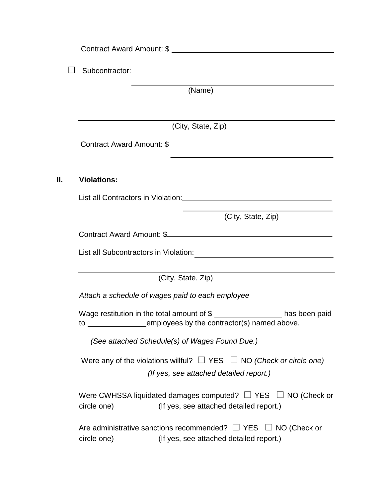| $\blacksquare$ | Subcontractor:                                                                                                                                           |
|----------------|----------------------------------------------------------------------------------------------------------------------------------------------------------|
|                | (Name)                                                                                                                                                   |
|                |                                                                                                                                                          |
|                | (City, State, Zip)                                                                                                                                       |
|                | Contract Award Amount: \$                                                                                                                                |
| П.             | <b>Violations:</b>                                                                                                                                       |
|                | List all Contractors in Violation: Manual According to the Contractors of Violation:                                                                     |
|                | (City, State, Zip)                                                                                                                                       |
|                | Contract Award Amount: \$                                                                                                                                |
|                |                                                                                                                                                          |
|                | (City, State, Zip)                                                                                                                                       |
|                |                                                                                                                                                          |
|                | Attach a schedule of wages paid to each employee                                                                                                         |
|                | Wage restitution in the total amount of \$ ______________________ has been paid<br>to _______________________employees by the contractor(s) named above. |
|                | (See attached Schedule(s) of Wages Found Due.)                                                                                                           |
|                | Were any of the violations willful? $\Box$ YES $\Box$ NO (Check or circle one)                                                                           |
|                | (If yes, see attached detailed report.)                                                                                                                  |
|                | Were CWHSSA liquidated damages computed? $\Box$ YES $\Box$ NO (Check or<br>(If yes, see attached detailed report.)<br>circle one)                        |
|                | Are administrative sanctions recommended? $\Box$ YES $\Box$ NO (Check or<br>(If yes, see attached detailed report.)<br>circle one)                       |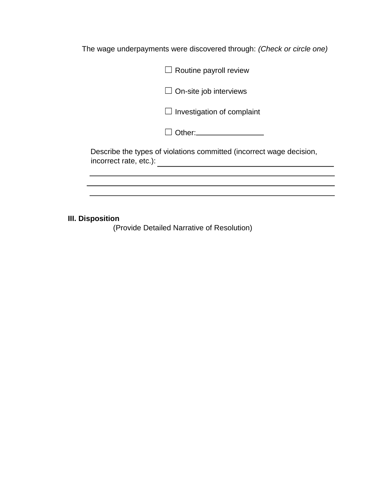The wage underpayments were discovered through: *(Check or circle one)*

| $\Box$ On-site job interviews<br>$\Box$ Investigation of complaint                             |
|------------------------------------------------------------------------------------------------|
|                                                                                                |
|                                                                                                |
|                                                                                                |
| Describe the types of violations committed (incorrect wage decision,<br>incorrect rate, etc.): |

# **III. Disposition**

(Provide Detailed Narrative of Resolution)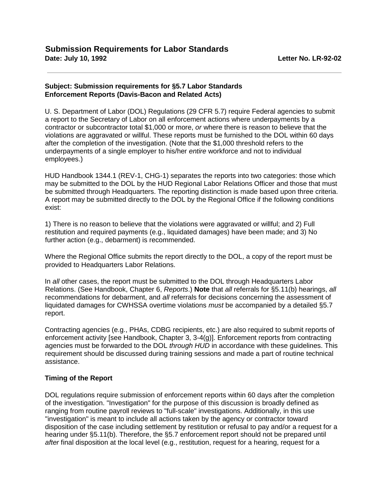### **Subject: Submission requirements for §5.7 Labor Standards Enforcement Reports (Davis-Bacon and Related Acts)**

U. S. Department of Labor (DOL) Regulations (29 CFR 5.7) require Federal agencies to submit a report to the Secretary of Labor on all enforcement actions where underpayments by a contractor or subcontractor total \$1,000 or more, *or* where there is reason to believe that the violations are aggravated or willful. These reports must be furnished to the DOL within 60 days after the completion of the investigation. (Note that the \$1,000 threshold refers to the underpayments of a single employer to his/her *entire* workforce and not to individual employees.)

HUD Handbook 1344.1 (REV-1, CHG-1) separates the reports into two categories: those which may be submitted to the DOL by the HUD Regional Labor Relations Officer and those that must be submitted through Headquarters. The reporting distinction is made based upon three criteria. A report may be submitted directly to the DOL by the Regional Office if the following conditions exist:

1) There is no reason to believe that the violations were aggravated or willful; and 2) Full restitution and required payments (e.g., liquidated damages) have been made; and 3) No further action (e.g., debarment) is recommended.

Where the Regional Office submits the report directly to the DOL, a copy of the report must be provided to Headquarters Labor Relations.

In *all* other cases, the report must be submitted to the DOL through Headquarters Labor Relations. (See Handbook, Chapter 6, *Reports*.) **Note** that *all* referrals for §5.11(b) hearings, *all* recommendations for debarment, and *all* referrals for decisions concerning the assessment of liquidated damages for CWHSSA overtime violations *must* be accompanied by a detailed §5.7 report.

Contracting agencies (e.g., PHAs, CDBG recipients, etc.) are also required to submit reports of enforcement activity [see Handbook, Chapter 3, 3-4(g)]. Enforcement reports from contracting agencies must be forwarded to the DOL *through HUD* in accordance with these guidelines. This requirement should be discussed during training sessions and made a part of routine technical assistance.

## **Timing of the Report**

DOL regulations require submission of enforcement reports within 60 days after the completion of the investigation. "Investigation" for the purpose of this discussion is broadly defined as ranging from routine payroll reviews to "full-scale" investigations. Additionally, in this use "investigation" is meant to include all actions taken by the agency or contractor toward disposition of the case including settlement by restitution or refusal to pay and/or a request for a hearing under §5.11(b). Therefore, the §5.7 enforcement report should not be prepared until *after* final disposition at the local level (e.g., restitution, request for a hearing, request for a